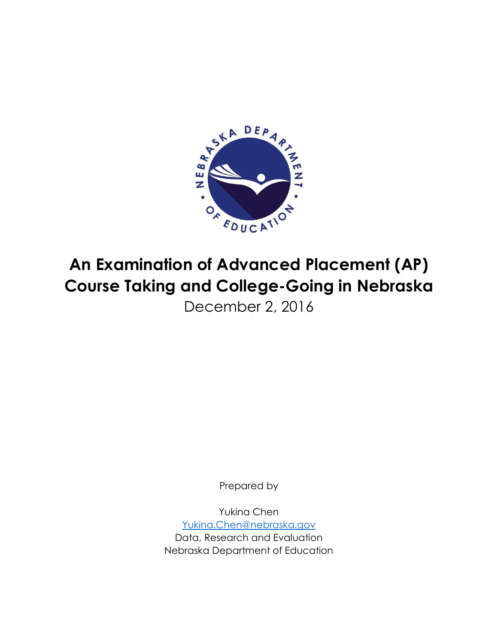

# **An Examination of Advanced Placement (AP) Course Taking and College-Going in Nebraska**

December 2, 2016

Prepared by

Yukina Chen [Yukina.Chen@nebraska.gov](mailto:Yukina.Chen@nebraska.gov) Data, Research and Evaluation Nebraska Department of Education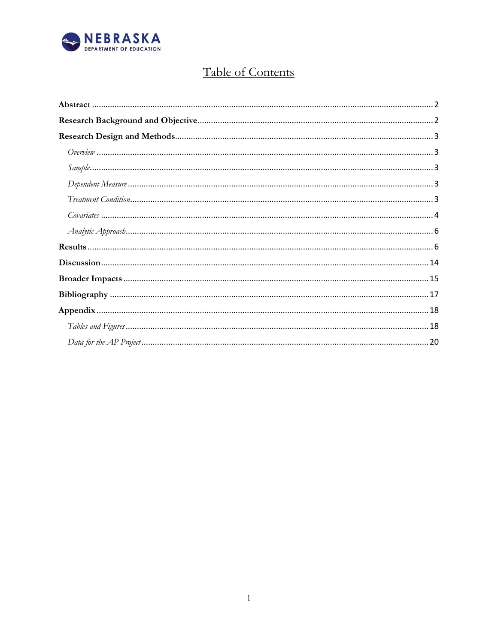

## Table of Contents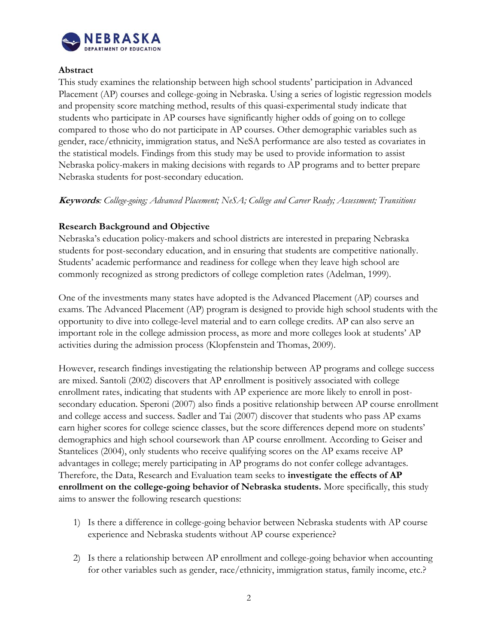

#### <span id="page-2-0"></span>**Abstract**

This study examines the relationship between high school students' participation in Advanced Placement (AP) courses and college-going in Nebraska. Using a series of logistic regression models and propensity score matching method, results of this quasi-experimental study indicate that students who participate in AP courses have significantly higher odds of going on to college compared to those who do not participate in AP courses. Other demographic variables such as gender, race/ethnicity, immigration status, and NeSA performance are also tested as covariates in the statistical models. Findings from this study may be used to provide information to assist Nebraska policy-makers in making decisions with regards to AP programs and to better prepare Nebraska students for post-secondary education.

**Keywords***: College-going; Advanced Placement; NeSA; College and Career Ready; Assessment; Transitions*

#### <span id="page-2-1"></span>**Research Background and Objective**

Nebraska's education policy-makers and school districts are interested in preparing Nebraska students for post-secondary education, and in ensuring that students are competitive nationally. Students' academic performance and readiness for college when they leave high school are commonly recognized as strong predictors of college completion rates (Adelman, 1999).

One of the investments many states have adopted is the Advanced Placement (AP) courses and exams. The Advanced Placement (AP) program is designed to provide high school students with the opportunity to dive into college-level material and to earn college credits. AP can also serve an important role in the college admission process, as more and more colleges look at students' AP activities during the admission process (Klopfenstein and Thomas, 2009).

However, research findings investigating the relationship between AP programs and college success are mixed. Santoli (2002) discovers that AP enrollment is positively associated with college enrollment rates, indicating that students with AP experience are more likely to enroll in postsecondary education. Speroni (2007) also finds a positive relationship between AP course enrollment and college access and success. Sadler and Tai (2007) discover that students who pass AP exams earn higher scores for college science classes, but the score differences depend more on students' demographics and high school coursework than AP course enrollment. According to Geiser and Stantelices (2004), only students who receive qualifying scores on the AP exams receive AP advantages in college; merely participating in AP programs do not confer college advantages. Therefore, the Data, Research and Evaluation team seeks to **investigate the effects of AP enrollment on the college-going behavior of Nebraska students.** More specifically, this study aims to answer the following research questions:

- 1) Is there a difference in college-going behavior between Nebraska students with AP course experience and Nebraska students without AP course experience?
- 2) Is there a relationship between AP enrollment and college-going behavior when accounting for other variables such as gender, race/ethnicity, immigration status, family income, etc.?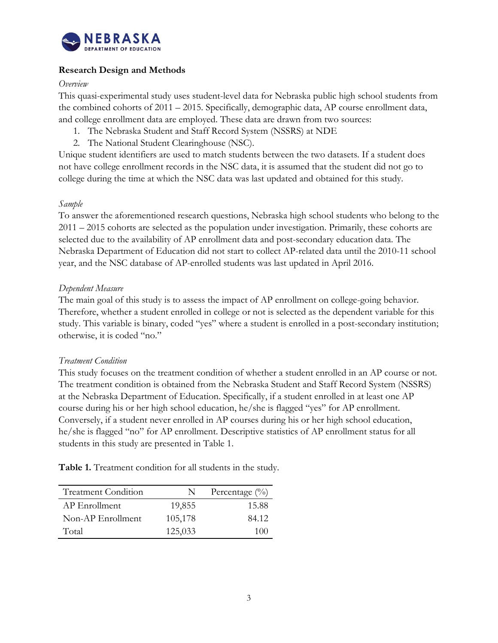

#### <span id="page-3-0"></span>**Research Design and Methods**

#### <span id="page-3-1"></span>*Overview*

This quasi-experimental study uses student-level data for Nebraska public high school students from the combined cohorts of 2011 – 2015. Specifically, demographic data, AP course enrollment data, and college enrollment data are employed. These data are drawn from two sources:

- 1. The Nebraska Student and Staff Record System (NSSRS) at NDE
- 2. The National Student Clearinghouse (NSC).

Unique student identifiers are used to match students between the two datasets. If a student does not have college enrollment records in the NSC data, it is assumed that the student did not go to college during the time at which the NSC data was last updated and obtained for this study.

#### <span id="page-3-2"></span>*Sample*

To answer the aforementioned research questions, Nebraska high school students who belong to the 2011 – 2015 cohorts are selected as the population under investigation. Primarily, these cohorts are selected due to the availability of AP enrollment data and post-secondary education data. The Nebraska Department of Education did not start to collect AP-related data until the 2010-11 school year, and the NSC database of AP-enrolled students was last updated in April 2016.

#### <span id="page-3-3"></span>*Dependent Measure*

The main goal of this study is to assess the impact of AP enrollment on college-going behavior. Therefore, whether a student enrolled in college or not is selected as the dependent variable for this study. This variable is binary, coded "yes" where a student is enrolled in a post-secondary institution; otherwise, it is coded "no."

#### <span id="page-3-4"></span>*Treatment Condition*

This study focuses on the treatment condition of whether a student enrolled in an AP course or not. The treatment condition is obtained from the Nebraska Student and Staff Record System (NSSRS) at the Nebraska Department of Education. Specifically, if a student enrolled in at least one AP course during his or her high school education, he/she is flagged "yes" for AP enrollment. Conversely, if a student never enrolled in AP courses during his or her high school education, he/she is flagged "no" for AP enrollment. Descriptive statistics of AP enrollment status for all students in this study are presented in Table 1.

**Table 1.** Treatment condition for all students in the study.

| <b>Treatment Condition</b> | N.      | Percentage $(\%)$ |
|----------------------------|---------|-------------------|
| AP Enrollment              | 19,855  | 15.88             |
| Non-AP Enrollment          | 105,178 | 84.12             |
| Total                      | 125,033 | 10O               |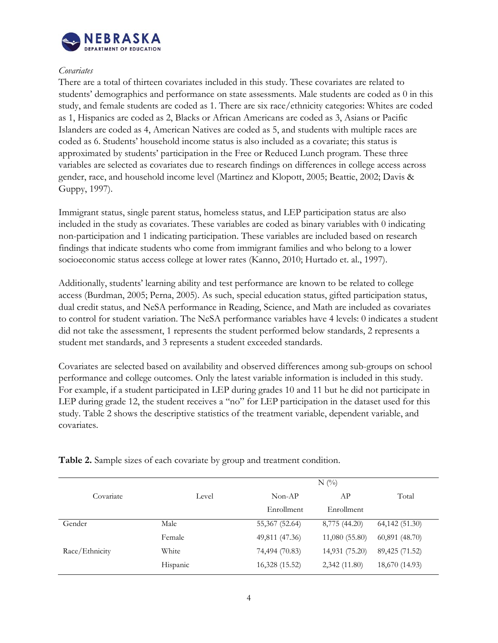

#### <span id="page-4-0"></span>*Covariates*

There are a total of thirteen covariates included in this study. These covariates are related to students' demographics and performance on state assessments. Male students are coded as 0 in this study, and female students are coded as 1. There are six race/ethnicity categories: Whites are coded as 1, Hispanics are coded as 2, Blacks or African Americans are coded as 3, Asians or Pacific Islanders are coded as 4, American Natives are coded as 5, and students with multiple races are coded as 6. Students' household income status is also included as a covariate; this status is approximated by students' participation in the Free or Reduced Lunch program. These three variables are selected as covariates due to research findings on differences in college access across gender, race, and household income level (Martinez and Klopott, 2005; Beattie, 2002; Davis & Guppy, 1997).

Immigrant status, single parent status, homeless status, and LEP participation status are also included in the study as covariates. These variables are coded as binary variables with 0 indicating non-participation and 1 indicating participation. These variables are included based on research findings that indicate students who come from immigrant families and who belong to a lower socioeconomic status access college at lower rates (Kanno, 2010; Hurtado et. al., 1997).

Additionally, students' learning ability and test performance are known to be related to college access (Burdman, 2005; Perna, 2005). As such, special education status, gifted participation status, dual credit status, and NeSA performance in Reading, Science, and Math are included as covariates to control for student variation. The NeSA performance variables have 4 levels: 0 indicates a student did not take the assessment, 1 represents the student performed below standards, 2 represents a student met standards, and 3 represents a student exceeded standards.

Covariates are selected based on availability and observed differences among sub-groups on school performance and college outcomes. Only the latest variable information is included in this study. For example, if a student participated in LEP during grades 10 and 11 but he did not participate in LEP during grade 12, the student receives a "no" for LEP participation in the dataset used for this study. Table 2 shows the descriptive statistics of the treatment variable, dependent variable, and covariates.

|                |          |                | N(%)           |                  |
|----------------|----------|----------------|----------------|------------------|
| Covariate      | Level    | $Non-AP$       | AP             | Total            |
|                |          | Enrollment     | Enrollment     |                  |
| Gender         | Male     | 55,367 (52.64) | 8,775 (44.20)  | 64,142(51.30)    |
|                | Female   | 49,811 (47.36) | 11,080(55.80)  | $60,891$ (48.70) |
| Race/Ethnicity | White    | 74,494 (70.83) | 14,931 (75.20) | 89,425 (71.52)   |
|                | Hispanic | 16,328 (15.52) | 2,342 (11.80)  | 18,670 (14.93)   |

**Table 2.** Sample sizes of each covariate by group and treatment condition.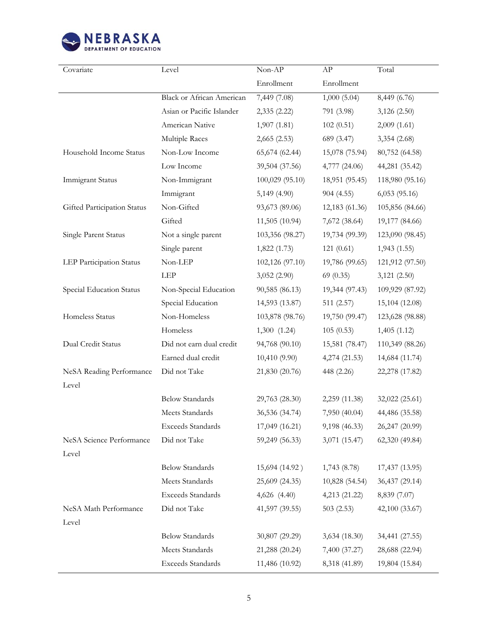

| Covariate                   | Level                            | Non-AP          | AP             | Total                     |
|-----------------------------|----------------------------------|-----------------|----------------|---------------------------|
|                             |                                  | Enrollment      | Enrollment     |                           |
|                             | <b>Black or African American</b> | 7,449 (7.08)    | 1,000(5.04)    | $\overline{8,449}$ (6.76) |
|                             | Asian or Pacific Islander        | 2,335 (2.22)    | 791 (3.98)     | 3,126(2.50)               |
|                             | American Native                  | 1,907(1.81)     | 102(0.51)      | 2,009(1.61)               |
|                             | Multiple Races                   | 2,665(2.53)     | 689 (3.47)     | 3,354 (2.68)              |
| Household Income Status     | Non-Low Income                   | 65,674 (62.44)  | 15,078 (75.94) | 80,752 (64.58)            |
|                             | Low Income                       | 39,504 (37.56)  | 4,777 (24.06)  | 44,281 (35.42)            |
| <b>Immigrant Status</b>     | Non-Immigrant                    | 100,029 (95.10) | 18,951 (95.45) | 118,980 (95.16)           |
|                             | Immigrant                        | 5,149(4.90)     | 904(4.55)      | 6,053(95.16)              |
| Gifted Participation Status | Non-Gifted                       | 93,673 (89.06)  | 12,183 (61.36) | 105,856 (84.66)           |
|                             | Gifted                           | 11,505 (10.94)  | 7,672 (38.64)  | 19,177 (84.66)            |
| Single Parent Status        | Not a single parent              | 103,356 (98.27) | 19,734 (99.39) | 123,090 (98.45)           |
|                             | Single parent                    | 1,822(1.73)     | 121(0.61)      | 1,943(1.55)               |
| LEP Participation Status    | Non-LEP                          | 102,126 (97.10) | 19,786 (99.65) | 121,912 (97.50)           |
|                             | LEP                              | 3,052 (2.90)    | 69(0.35)       | 3,121(2.50)               |
| Special Education Status    | Non-Special Education            | 90,585 (86.13)  | 19,344 (97.43) | 109,929 (87.92)           |
|                             | Special Education                | 14,593 (13.87)  | 511 (2.57)     | 15,104 (12.08)            |
| Homeless Status             | Non-Homeless                     | 103,878 (98.76) | 19,750 (99.47) | 123,628 (98.88)           |
|                             | Homeless                         | 1,300 (1.24)    | 105(0.53)      | 1,405(1.12)               |
| Dual Credit Status          | Did not earn dual credit         | 94,768 (90.10)  | 15,581 (78.47) | 110,349 (88.26)           |
|                             | Earned dual credit               | 10,410 (9.90)   | 4,274(21.53)   | 14,684 (11.74)            |
| NeSA Reading Performance    | Did not Take                     | 21,830 (20.76)  | 448 (2.26)     | 22,278 (17.82)            |
| Level                       |                                  |                 |                |                           |
|                             | <b>Below Standards</b>           | 29,763 (28.30)  | 2,259 (11.38)  | 32,022 (25.61)            |
|                             | Meets Standards                  | 36,536 (34.74)  | 7,950 (40.04)  | 44,486 (35.58)            |
|                             | Exceeds Standards                | 17,049 (16.21)  | 9,198 (46.33)  | 26,247 (20.99)            |
| NeSA Science Performance    | Did not Take                     | 59,249 (56.33)  | 3,071 (15.47)  | 62,320 (49.84)            |
| Level                       |                                  |                 |                |                           |
|                             | <b>Below Standards</b>           | 15,694 (14.92)  | 1,743 (8.78)   | 17,437 (13.95)            |
|                             | Meets Standards                  | 25,609 (24.35)  | 10,828 (54.54) | 36,437 (29.14)            |
|                             | Exceeds Standards                | 4,626 (4.40)    | 4,213 (21.22)  | 8,839 (7.07)              |
| NeSA Math Performance       | Did not Take                     | 41,597 (39.55)  | 503(2.53)      | 42,100 (33.67)            |
| Level                       |                                  |                 |                |                           |
|                             | <b>Below Standards</b>           | 30,807 (29.29)  | 3,634 (18.30)  | 34,441 (27.55)            |
|                             | Meets Standards                  | 21,288 (20.24)  | 7,400 (37.27)  | 28,688 (22.94)            |
|                             | Exceeds Standards                | 11,486 (10.92)  | 8,318 (41.89)  | 19,804 (15.84)            |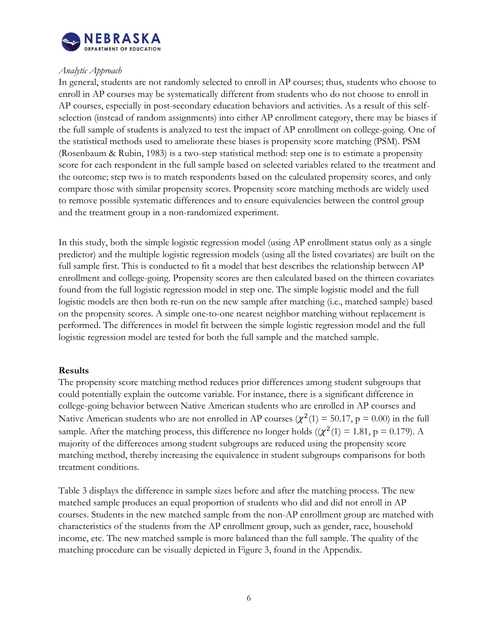

#### <span id="page-6-0"></span>*Analytic Approach*

In general, students are not randomly selected to enroll in AP courses; thus, students who choose to enroll in AP courses may be systematically different from students who do not choose to enroll in AP courses, especially in post-secondary education behaviors and activities. As a result of this selfselection (instead of random assignments) into either AP enrollment category, there may be biases if the full sample of students is analyzed to test the impact of AP enrollment on college-going. One of the statistical methods used to ameliorate these biases is propensity score matching (PSM). PSM (Rosenbaum & Rubin, 1983) is a two-step statistical method: step one is to estimate a propensity score for each respondent in the full sample based on selected variables related to the treatment and the outcome; step two is to match respondents based on the calculated propensity scores, and only compare those with similar propensity scores. Propensity score matching methods are widely used to remove possible systematic differences and to ensure equivalencies between the control group and the treatment group in a non-randomized experiment.

In this study, both the simple logistic regression model (using AP enrollment status only as a single predictor) and the multiple logistic regression models (using all the listed covariates) are built on the full sample first. This is conducted to fit a model that best describes the relationship between AP enrollment and college-going. Propensity scores are then calculated based on the thirteen covariates found from the full logistic regression model in step one. The simple logistic model and the full logistic models are then both re-run on the new sample after matching (i.e., matched sample) based on the propensity scores. A simple one-to-one nearest neighbor matching without replacement is performed. The differences in model fit between the simple logistic regression model and the full logistic regression model are tested for both the full sample and the matched sample.

#### <span id="page-6-1"></span>**Results**

The propensity score matching method reduces prior differences among student subgroups that could potentially explain the outcome variable. For instance, there is a significant difference in college-going behavior between Native American students who are enrolled in AP courses and Native American students who are not enrolled in AP courses  $(\chi^2(1) = 50.17, p = 0.00)$  in the full sample. After the matching process, this difference no longer holds ( $(\chi^2(1) = 1.81, p = 0.179)$ . A majority of the differences among student subgroups are reduced using the propensity score matching method, thereby increasing the equivalence in student subgroups comparisons for both treatment conditions.

Table 3 displays the difference in sample sizes before and after the matching process. The new matched sample produces an equal proportion of students who did and did not enroll in AP courses. Students in the new matched sample from the non-AP enrollment group are matched with characteristics of the students from the AP enrollment group, such as gender, race, household income, etc. The new matched sample is more balanced than the full sample. The quality of the matching procedure can be visually depicted in Figure 3, found in the Appendix.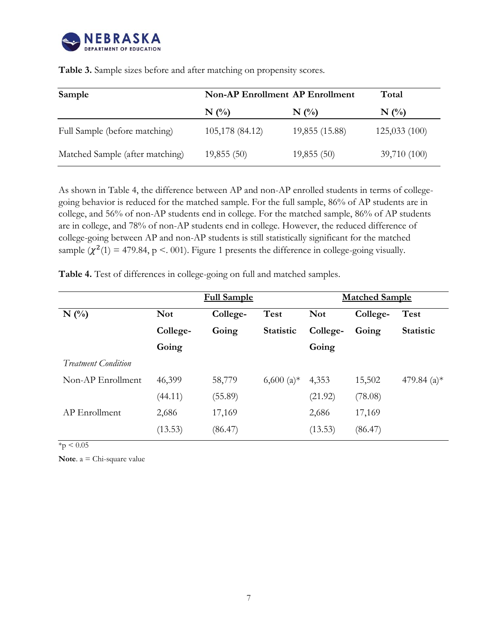

| Sample                          | <b>Non-AP Enrollment AP Enrollment</b> |                | Total        |
|---------------------------------|----------------------------------------|----------------|--------------|
|                                 | $N(\%)$                                | $N(\%)$        | $N(\%)$      |
| Full Sample (before matching)   | 105,178 (84.12)                        | 19,855 (15.88) | 125,033(100) |
| Matched Sample (after matching) | 19,855(50)                             | 19,855(50)     | 39,710 (100) |

**Table 3.** Sample sizes before and after matching on propensity scores.

As shown in Table 4, the difference between AP and non-AP enrolled students in terms of collegegoing behavior is reduced for the matched sample. For the full sample, 86% of AP students are in college, and 56% of non-AP students end in college. For the matched sample, 86% of AP students are in college, and 78% of non-AP students end in college. However, the reduced difference of college-going between AP and non-AP students is still statistically significant for the matched sample  $(\chi^2(1) = 479.84, p < .001)$ . Figure 1 presents the difference in college-going visually.

|                            | <b>Full Sample</b> |          |                  |            | <b>Matched Sample</b> |                  |
|----------------------------|--------------------|----------|------------------|------------|-----------------------|------------------|
| $N(\%)$                    | <b>Not</b>         | College- | <b>Test</b>      | <b>Not</b> | College-              | Test             |
|                            | College-           | Going    | <b>Statistic</b> | College-   | Going                 | <b>Statistic</b> |
|                            | Going              |          |                  | Going      |                       |                  |
| <i>Treatment Condition</i> |                    |          |                  |            |                       |                  |
| Non-AP Enrollment          | 46,399             | 58,779   | $6,600 (a)*$     | 4,353      | 15,502                | 479.84 $(a)*$    |
|                            | (44.11)            | (55.89)  |                  | (21.92)    | (78.08)               |                  |
| AP Enrollment              | 2,686              | 17,169   |                  | 2,686      | 17,169                |                  |
|                            | (13.53)            | (86.47)  |                  | (13.53)    | (86.47)               |                  |

**Table 4.** Test of differences in college-going on full and matched samples.

 $*_{p}$  < 0.05

**Note**. a = Chi-square value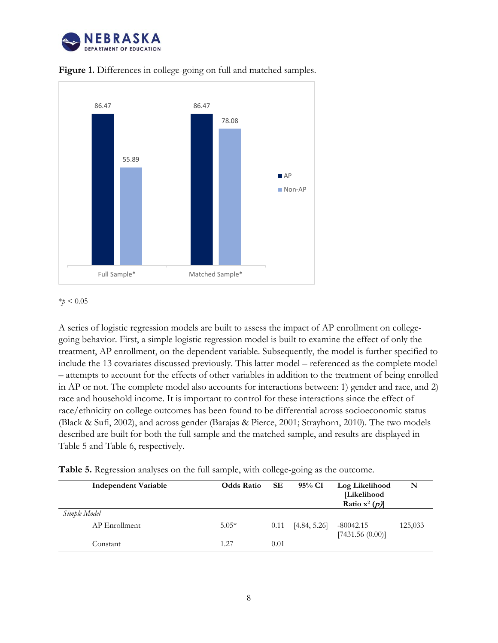



Figure 1. Differences in college-going on full and matched samples.



A series of logistic regression models are built to assess the impact of AP enrollment on collegegoing behavior. First, a simple logistic regression model is built to examine the effect of only the treatment, AP enrollment, on the dependent variable. Subsequently, the model is further specified to include the 13 covariates discussed previously. This latter model – referenced as the complete model – attempts to account for the effects of other variables in addition to the treatment of being enrolled in AP or not. The complete model also accounts for interactions between: 1) gender and race, and 2) race and household income. It is important to control for these interactions since the effect of race/ethnicity on college outcomes has been found to be differential across socioeconomic status (Black & Sufi, 2002), and across gender (Barajas & Pierce, 2001; Strayhorn, 2010). The two models described are built for both the full sample and the matched sample, and results are displayed in Table 5 and Table 6, respectively.

| <b>Independent Variable</b> | <b>Odds Ratio</b> | SE   | 95% CI       | Log Likelihood<br>[Likelihood<br>Ratio $x^2$ (p) | N       |
|-----------------------------|-------------------|------|--------------|--------------------------------------------------|---------|
| Simple Model                |                   |      |              |                                                  |         |
| AP Enrollment               | $5.05*$           | 0.11 | [4.84, 5.26] | $-80042.15$<br>[7431.56(0.00)]                   | 125,033 |
| Constant                    | 1.27              | 0.01 |              |                                                  |         |

**Table 5.** Regression analyses on the full sample, with college-going as the outcome.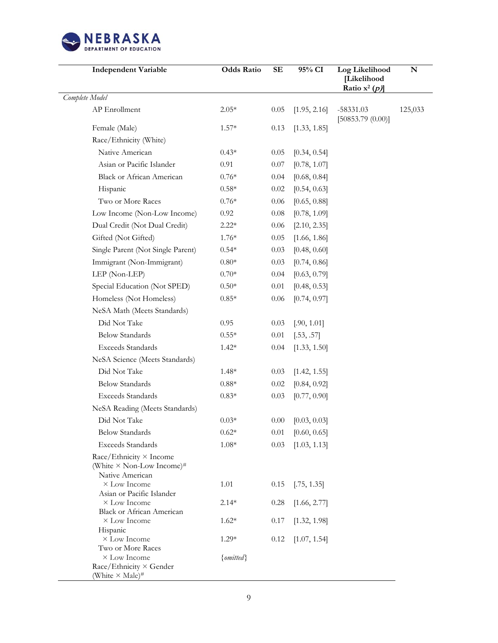

| <b>Independent Variable</b>                                                                       | <b>Odds Ratio</b> | SE       | 95% CI       | Log Likelihood<br>[Likelihood<br>Ratio $x^2$ (p) | N       |
|---------------------------------------------------------------------------------------------------|-------------------|----------|--------------|--------------------------------------------------|---------|
| Complete Model                                                                                    |                   |          |              |                                                  |         |
| AP Enrollment                                                                                     | $2.05*$           | 0.05     | [1.95, 2.16] | $-58331.03$<br>[50853.79(0.00)]                  | 125,033 |
| Female (Male)                                                                                     | $1.57*$           | 0.13     | [1.33, 1.85] |                                                  |         |
| Race/Ethnicity (White)                                                                            |                   |          |              |                                                  |         |
| Native American                                                                                   | $0.43*$           | 0.05     | [0.34, 0.54] |                                                  |         |
| Asian or Pacific Islander                                                                         | 0.91              | $0.07\,$ | [0.78, 1.07] |                                                  |         |
| <b>Black or African American</b>                                                                  | $0.76*$           | 0.04     | [0.68, 0.84] |                                                  |         |
| Hispanic                                                                                          | $0.58*$           | 0.02     | [0.54, 0.63] |                                                  |         |
| Two or More Races                                                                                 | $0.76*$           | $0.06\,$ | [0.65, 0.88] |                                                  |         |
| Low Income (Non-Low Income)                                                                       | 0.92              | 0.08     | [0.78, 1.09] |                                                  |         |
| Dual Credit (Not Dual Credit)                                                                     | $2.22*$           | $0.06\,$ | [2.10, 2.35] |                                                  |         |
| Gifted (Not Gifted)                                                                               | $1.76*$           | 0.05     | [1.66, 1.86] |                                                  |         |
| Single Parent (Not Single Parent)                                                                 | $0.54*$           | 0.03     | [0.48, 0.60] |                                                  |         |
| Immigrant (Non-Immigrant)                                                                         | $0.80*$           | 0.03     | [0.74, 0.86] |                                                  |         |
| LEP (Non-LEP)                                                                                     | $0.70*$           | 0.04     | [0.63, 0.79] |                                                  |         |
| Special Education (Not SPED)                                                                      | $0.50*$           | $0.01\,$ | [0.48, 0.53] |                                                  |         |
| Homeless (Not Homeless)                                                                           | $0.85*$           | 0.06     | [0.74, 0.97] |                                                  |         |
| NeSA Math (Meets Standards)                                                                       |                   |          |              |                                                  |         |
| Did Not Take                                                                                      | 0.95              | 0.03     | [.90, 1.01]  |                                                  |         |
| <b>Below Standards</b>                                                                            | $0.55*$           | $0.01\,$ | [.53, .57]   |                                                  |         |
| <b>Exceeds Standards</b>                                                                          | $1.42*$           | 0.04     | [1.33, 1.50] |                                                  |         |
| NeSA Science (Meets Standards)                                                                    |                   |          |              |                                                  |         |
| Did Not Take                                                                                      | $1.48*$           | 0.03     | [1.42, 1.55] |                                                  |         |
| <b>Below Standards</b>                                                                            | $0.88*$           | 0.02     | [0.84, 0.92] |                                                  |         |
| <b>Exceeds Standards</b>                                                                          | $0.83*$           | 0.03     | [0.77, 0.90] |                                                  |         |
| NeSA Reading (Meets Standards)                                                                    |                   |          |              |                                                  |         |
| Did Not Take                                                                                      | $0.03*$           | 0.00     | [0.03, 0.03] |                                                  |         |
| <b>Below Standards</b>                                                                            | $0.62*$           | 0.01     | [0.60, 0.65] |                                                  |         |
| <b>Exceeds Standards</b>                                                                          | $1.08*$           | 0.03     | [1.03, 1.13] |                                                  |         |
| Race/Ethnicity $\times$ Income<br>(White $\times$ Non-Low Income) <sup>#</sup><br>Native American |                   |          |              |                                                  |         |
| × Low Income<br>Asian or Pacific Islander                                                         | 1.01              | 0.15     | [.75, 1.35]  |                                                  |         |
| $\times$ Low Income<br>Black or African American                                                  | $2.14*$           | 0.28     | [1.66, 2.77] |                                                  |         |
| $\times$ Low Income<br>Hispanic                                                                   | $1.62*$           | 0.17     | [1.32, 1.98] |                                                  |         |
| $\times$ Low Income<br>Two or More Races                                                          | $1.29*$           | 0.12     | [1.07, 1.54] |                                                  |         |
| $\times$ Low Income<br>Race/Ethnicity $\times$ Gender<br>(White $\times$ Male) <sup>#</sup>       | ${omitted}$       |          |              |                                                  |         |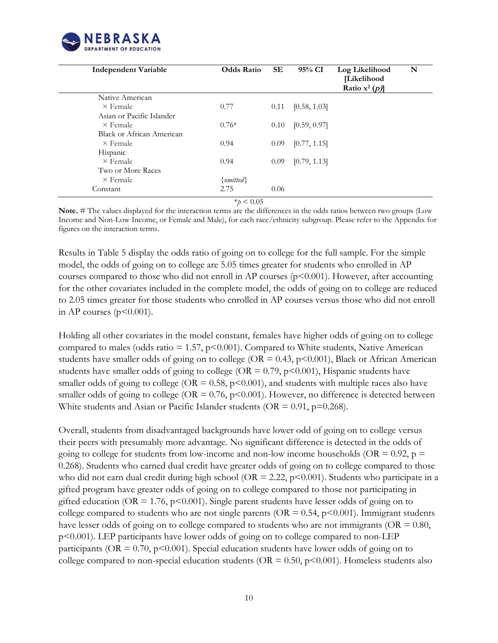

| <b>Independent Variable</b> | <b>Odds Ratio</b> | SЕ   | 95% CI       | Log Likelihood<br>[Likelihood<br>Ratio $x^2$ (p) | N |
|-----------------------------|-------------------|------|--------------|--------------------------------------------------|---|
| Native American             |                   |      |              |                                                  |   |
| $\times$ Female             | 0.77              | 0.11 | [0.58, 1.03] |                                                  |   |
| Asian or Pacific Islander   |                   |      |              |                                                  |   |
| $\times$ Female             | $0.76*$           | 0.10 | [0.59, 0.97] |                                                  |   |
| Black or African American   |                   |      |              |                                                  |   |
| $\times$ Female             | 0.94              | 0.09 | [0.77, 1.15] |                                                  |   |
| Hispanic                    |                   |      |              |                                                  |   |
| $\times$ Female             | 0.94              | 0.09 | [0.79, 1.13] |                                                  |   |
| Two or More Races           |                   |      |              |                                                  |   |
| $\times$ Female             | {omitted}         |      |              |                                                  |   |
| Constant                    | 2.75              | 0.06 |              |                                                  |   |

 $*_{p} < 0.05$ 

**Note.** # The values displayed for the interaction terms are the differences in the odds ratios between two groups (Low Income and Non-Low Income, or Female and Male), for each race/ethnicity subgroup. Please refer to the Appendix for figures on the interaction terms.

Results in Table 5 display the odds ratio of going on to college for the full sample. For the simple model, the odds of going on to college are 5.05 times greater for students who enrolled in AP courses compared to those who did not enroll in AP courses ( $p$ <0.001). However, after accounting for the other covariates included in the complete model, the odds of going on to college are reduced to 2.05 times greater for those students who enrolled in AP courses versus those who did not enroll in AP courses  $(p<0.001)$ .

Holding all other covariates in the model constant, females have higher odds of going on to college compared to males (odds ratio  $= 1.57$ , p $\leq 0.001$ ). Compared to White students, Native American students have smaller odds of going on to college (OR =  $0.43$ , p<0.001), Black or African American students have smaller odds of going to college (OR =  $0.79$ , p<0.001), Hispanic students have smaller odds of going to college ( $OR = 0.58$ ,  $p < 0.001$ ), and students with multiple races also have smaller odds of going to college ( $OR = 0.76$ ,  $p < 0.001$ ). However, no difference is detected between White students and Asian or Pacific Islander students ( $OR = 0.91$ ,  $p=0.268$ ).

Overall, students from disadvantaged backgrounds have lower odd of going on to college versus their peers with presumably more advantage. No significant difference is detected in the odds of going to college for students from low-income and non-low income households (OR =  $0.92$ , p = 0.268). Students who earned dual credit have greater odds of going on to college compared to those who did not earn dual credit during high school ( $OR = 2.22$ ,  $p \le 0.001$ ). Students who participate in a gifted program have greater odds of going on to college compared to those not participating in gifted education (OR = 1.76,  $p$ <0.001). Single parent students have lesser odds of going on to college compared to students who are not single parents ( $OR = 0.54$ ,  $p < 0.001$ ). Immigrant students have lesser odds of going on to college compared to students who are not immigrants ( $OR = 0.80$ , p<0.001). LEP participants have lower odds of going on to college compared to non-LEP participants ( $OR = 0.70$ ,  $p < 0.001$ ). Special education students have lower odds of going on to college compared to non-special education students (OR =  $0.50$ , p $\leq 0.001$ ). Homeless students also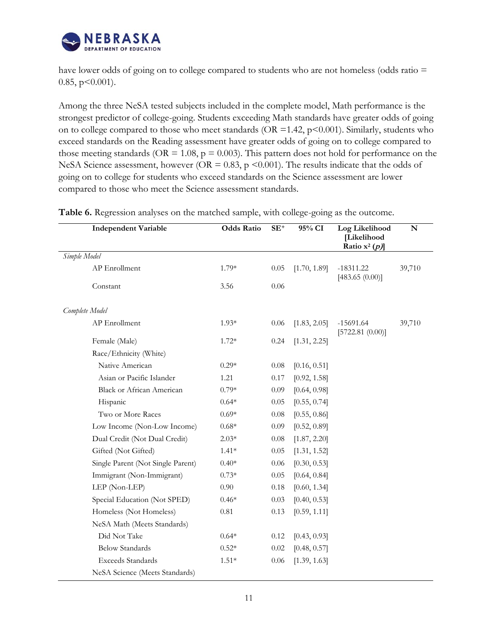

have lower odds of going on to college compared to students who are not homeless (odds ratio =  $0.85$ ,  $p < 0.001$ ).

Among the three NeSA tested subjects included in the complete model, Math performance is the strongest predictor of college-going. Students exceeding Math standards have greater odds of going on to college compared to those who meet standards (OR = 1.42,  $p$  < 0.001). Similarly, students who exceed standards on the Reading assessment have greater odds of going on to college compared to those meeting standards (OR = 1.08,  $p = 0.003$ ). This pattern does not hold for performance on the NeSA Science assessment, however (OR =  $0.83$ , p <0.001). The results indicate that the odds of going on to college for students who exceed standards on the Science assessment are lower compared to those who meet the Science assessment standards.

| <b>Independent Variable</b>       | <b>Odds Ratio</b> | $SE^+$   | 95% CI       | Log Likelihood<br>[Likelihood<br>Ratio $x^2$ (p) | ${\bf N}$ |
|-----------------------------------|-------------------|----------|--------------|--------------------------------------------------|-----------|
| Simple Model                      |                   |          |              |                                                  |           |
| AP Enrollment                     | 1.79*             | 0.05     | [1.70, 1.89] | $-18311.22$                                      | 39,710    |
| Constant                          | 3.56              | 0.06     |              | [483.65(0.00)]                                   |           |
| Complete Model                    |                   |          |              |                                                  |           |
| AP Enrollment                     | $1.93*$           | 0.06     | [1.83, 2.05] | $-15691.64$<br>[5722.81 (0.00)]                  | 39,710    |
| Female (Male)                     | $1.72*$           | 0.24     | [1.31, 2.25] |                                                  |           |
| Race/Ethnicity (White)            |                   |          |              |                                                  |           |
| Native American                   | $0.29*$           | 0.08     | [0.16, 0.51] |                                                  |           |
| Asian or Pacific Islander         | 1.21              | 0.17     | [0.92, 1.58] |                                                  |           |
| Black or African American         | $0.79*$           | 0.09     | [0.64, 0.98] |                                                  |           |
| Hispanic                          | $0.64*$           | 0.05     | [0.55, 0.74] |                                                  |           |
| Two or More Races                 | $0.69*$           | 0.08     | [0.55, 0.86] |                                                  |           |
| Low Income (Non-Low Income)       | $0.68*$           | 0.09     | [0.52, 0.89] |                                                  |           |
| Dual Credit (Not Dual Credit)     | $2.03*$           | $0.08\,$ | [1.87, 2.20] |                                                  |           |
| Gifted (Not Gifted)               | $1.41*$           | 0.05     | [1.31, 1.52] |                                                  |           |
| Single Parent (Not Single Parent) | $0.40*$           | 0.06     | [0.30, 0.53] |                                                  |           |
| Immigrant (Non-Immigrant)         | $0.73*$           | 0.05     | [0.64, 0.84] |                                                  |           |
| LEP (Non-LEP)                     | 0.90              | 0.18     | [0.60, 1.34] |                                                  |           |
| Special Education (Not SPED)      | $0.46*$           | 0.03     | [0.40, 0.53] |                                                  |           |
| Homeless (Not Homeless)           | 0.81              | 0.13     | [0.59, 1.11] |                                                  |           |
| NeSA Math (Meets Standards)       |                   |          |              |                                                  |           |
| Did Not Take                      | $0.64*$           | 0.12     | [0.43, 0.93] |                                                  |           |
| <b>Below Standards</b>            | $0.52*$           | 0.02     | [0.48, 0.57] |                                                  |           |
| <b>Exceeds Standards</b>          | $1.51*$           | 0.06     | [1.39, 1.63] |                                                  |           |
| NeSA Science (Meets Standards)    |                   |          |              |                                                  |           |

**Table 6.** Regression analyses on the matched sample, with college-going as the outcome.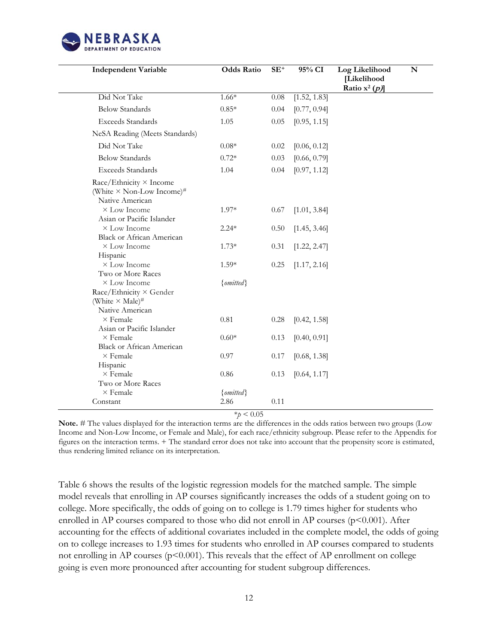

| <b>Independent Variable</b>                                                                                    | <b>Odds Ratio</b> | $SE^+$   | 95% CI       | Log Likelihood<br>[Likelihood<br>Ratio $x^2(p)$ | N |
|----------------------------------------------------------------------------------------------------------------|-------------------|----------|--------------|-------------------------------------------------|---|
| Did Not Take                                                                                                   | $1.66*$           | $0.08\,$ | [1.52, 1.83] |                                                 |   |
| <b>Below Standards</b>                                                                                         | $0.85*$           | 0.04     | [0.77, 0.94] |                                                 |   |
| <b>Exceeds Standards</b>                                                                                       | 1.05              | 0.05     | [0.95, 1.15] |                                                 |   |
| NeSA Reading (Meets Standards)                                                                                 |                   |          |              |                                                 |   |
| Did Not Take                                                                                                   | $0.08*$           | 0.02     | [0.06, 0.12] |                                                 |   |
| <b>Below Standards</b>                                                                                         | $0.72*$           | 0.03     | [0.66, 0.79] |                                                 |   |
| <b>Exceeds Standards</b>                                                                                       | 1.04              | 0.04     | [0.97, 1.12] |                                                 |   |
| Race/Ethnicity × Income<br>(White $\times$ Non-Low Income)#<br>Native American                                 |                   |          |              |                                                 |   |
| $\times$ Low Income<br>Asian or Pacific Islander                                                               | $1.97*$           | 0.67     | [1.01, 3.84] |                                                 |   |
| × Low Income<br><b>Black or African American</b>                                                               | $2.24*$           | 0.50     | [1.45, 3.46] |                                                 |   |
| $\times$ Low Income<br>Hispanic                                                                                | $1.73*$           | 0.31     | [1.22, 2.47] |                                                 |   |
| $\times$ Low Income<br>Two or More Races                                                                       | $1.59*$           | 0.25     | [1.17, 2.16] |                                                 |   |
| $\times$ Low Income<br>Race/Ethnicity $\times$ Gender<br>(White $\times$ Male) <sup>#</sup><br>Native American | {omitted}         |          |              |                                                 |   |
| $\times$ Female<br>Asian or Pacific Islander                                                                   | 0.81              | 0.28     | [0.42, 1.58] |                                                 |   |
| $\times$ Female<br>Black or African American                                                                   | $0.60*$           | 0.13     | [0.40, 0.91] |                                                 |   |
| $\times$ Female<br>Hispanic                                                                                    | 0.97              | 0.17     | [0.68, 1.38] |                                                 |   |
| $\times$ Female<br>Two or More Races                                                                           | 0.86              | 0.13     | [0.64, 1.17] |                                                 |   |
| $\times$ Female<br>Constant                                                                                    | {omitted}<br>2.86 | 0.11     |              |                                                 |   |

 $*_{p}$  < 0.05

**Note.** # The values displayed for the interaction terms are the differences in the odds ratios between two groups (Low Income and Non-Low Income, or Female and Male), for each race/ethnicity subgroup. Please refer to the Appendix for figures on the interaction terms. + The standard error does not take into account that the propensity score is estimated, thus rendering limited reliance on its interpretation.

Table 6 shows the results of the logistic regression models for the matched sample. The simple model reveals that enrolling in AP courses significantly increases the odds of a student going on to college. More specifically, the odds of going on to college is 1.79 times higher for students who enrolled in AP courses compared to those who did not enroll in AP courses ( $p$ <0.001). After accounting for the effects of additional covariates included in the complete model, the odds of going on to college increases to 1.93 times for students who enrolled in AP courses compared to students not enrolling in AP courses ( $p<0.001$ ). This reveals that the effect of AP enrollment on college going is even more pronounced after accounting for student subgroup differences.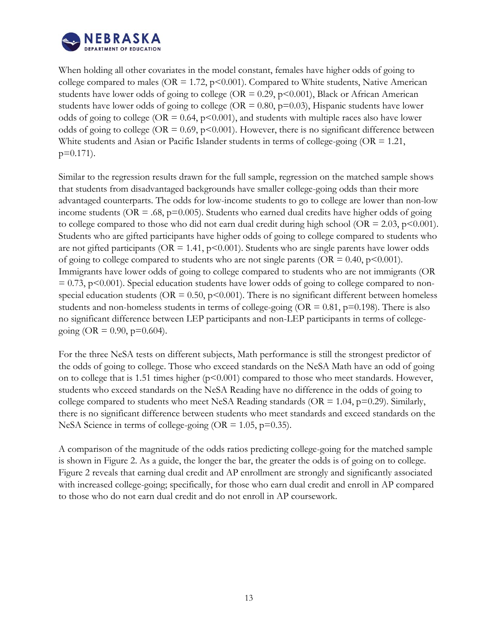

When holding all other covariates in the model constant, females have higher odds of going to college compared to males ( $OR = 1.72$ ,  $p < 0.001$ ). Compared to White students, Native American students have lower odds of going to college (OR =  $0.29$ , p<0.001), Black or African American students have lower odds of going to college (OR =  $0.80$ , p= $0.03$ ), Hispanic students have lower odds of going to college ( $OR = 0.64$ ,  $p < 0.001$ ), and students with multiple races also have lower odds of going to college (OR =  $0.69$ , p<0.001). However, there is no significant difference between White students and Asian or Pacific Islander students in terms of college-going (OR = 1.21, p=0.171).

Similar to the regression results drawn for the full sample, regression on the matched sample shows that students from disadvantaged backgrounds have smaller college-going odds than their more advantaged counterparts. The odds for low-income students to go to college are lower than non-low income students ( $OR = .68$ ,  $p=0.005$ ). Students who earned dual credits have higher odds of going to college compared to those who did not earn dual credit during high school (OR = 2.03, p<0.001). Students who are gifted participants have higher odds of going to college compared to students who are not gifted participants ( $OR = 1.41$ ,  $p < 0.001$ ). Students who are single parents have lower odds of going to college compared to students who are not single parents ( $OR = 0.40$ ,  $p < 0.001$ ). Immigrants have lower odds of going to college compared to students who are not immigrants (OR  $= 0.73$ , p $\leq 0.001$ ). Special education students have lower odds of going to college compared to nonspecial education students ( $OR = 0.50$ ,  $p < 0.001$ ). There is no significant different between homeless students and non-homeless students in terms of college-going ( $OR = 0.81$ ,  $p=0.198$ ). There is also no significant difference between LEP participants and non-LEP participants in terms of collegegoing (OR =  $0.90$ , p= $0.604$ ).

For the three NeSA tests on different subjects, Math performance is still the strongest predictor of the odds of going to college. Those who exceed standards on the NeSA Math have an odd of going on to college that is 1.51 times higher (p<0.001) compared to those who meet standards. However, students who exceed standards on the NeSA Reading have no difference in the odds of going to college compared to students who meet NeSA Reading standards ( $OR = 1.04$ ,  $p=0.29$ ). Similarly, there is no significant difference between students who meet standards and exceed standards on the NeSA Science in terms of college-going (OR =  $1.05$ , p=0.35).

A comparison of the magnitude of the odds ratios predicting college-going for the matched sample is shown in Figure 2. As a guide, the longer the bar, the greater the odds is of going on to college. Figure 2 reveals that earning dual credit and AP enrollment are strongly and significantly associated with increased college-going; specifically, for those who earn dual credit and enroll in AP compared to those who do not earn dual credit and do not enroll in AP coursework.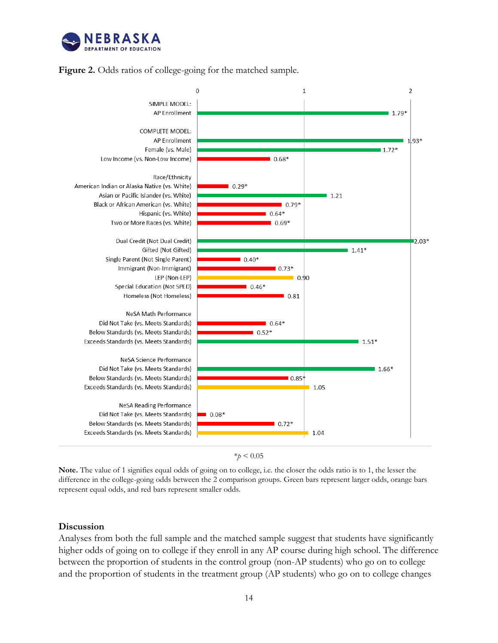







**Note.** The value of 1 signifies equal odds of going on to college, i.e. the closer the odds ratio is to 1, the lesser the difference in the college-going odds between the 2 comparison groups. Green bars represent larger odds, orange bars represent equal odds, and red bars represent smaller odds.

#### <span id="page-14-0"></span>**Discussion**

Analyses from both the full sample and the matched sample suggest that students have significantly higher odds of going on to college if they enroll in any AP course during high school. The difference between the proportion of students in the control group (non-AP students) who go on to college and the proportion of students in the treatment group (AP students) who go on to college changes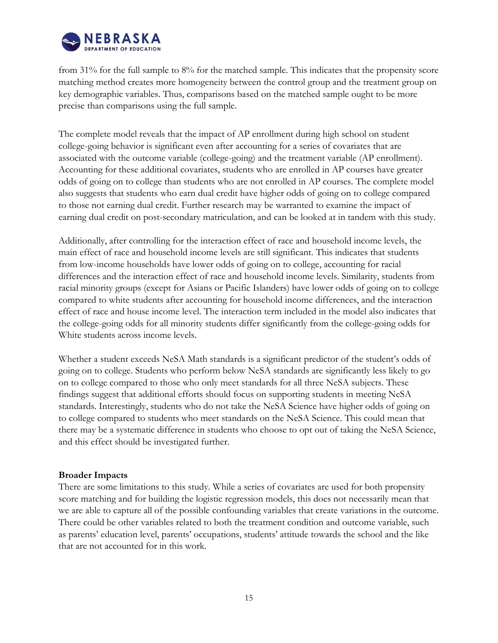

from 31% for the full sample to 8% for the matched sample. This indicates that the propensity score matching method creates more homogeneity between the control group and the treatment group on key demographic variables. Thus, comparisons based on the matched sample ought to be more precise than comparisons using the full sample.

The complete model reveals that the impact of AP enrollment during high school on student college-going behavior is significant even after accounting for a series of covariates that are associated with the outcome variable (college-going) and the treatment variable (AP enrollment). Accounting for these additional covariates, students who are enrolled in AP courses have greater odds of going on to college than students who are not enrolled in AP courses. The complete model also suggests that students who earn dual credit have higher odds of going on to college compared to those not earning dual credit. Further research may be warranted to examine the impact of earning dual credit on post-secondary matriculation, and can be looked at in tandem with this study.

Additionally, after controlling for the interaction effect of race and household income levels, the main effect of race and household income levels are still significant. This indicates that students from low-income households have lower odds of going on to college, accounting for racial differences and the interaction effect of race and household income levels. Similarity, students from racial minority groups (except for Asians or Pacific Islanders) have lower odds of going on to college compared to white students after accounting for household income differences, and the interaction effect of race and house income level. The interaction term included in the model also indicates that the college-going odds for all minority students differ significantly from the college-going odds for White students across income levels.

Whether a student exceeds NeSA Math standards is a significant predictor of the student's odds of going on to college. Students who perform below NeSA standards are significantly less likely to go on to college compared to those who only meet standards for all three NeSA subjects. These findings suggest that additional efforts should focus on supporting students in meeting NeSA standards. Interestingly, students who do not take the NeSA Science have higher odds of going on to college compared to students who meet standards on the NeSA Science. This could mean that there may be a systematic difference in students who choose to opt out of taking the NeSA Science, and this effect should be investigated further.

#### <span id="page-15-0"></span>**Broader Impacts**

There are some limitations to this study. While a series of covariates are used for both propensity score matching and for building the logistic regression models, this does not necessarily mean that we are able to capture all of the possible confounding variables that create variations in the outcome. There could be other variables related to both the treatment condition and outcome variable, such as parents' education level, parents' occupations, students' attitude towards the school and the like that are not accounted for in this work.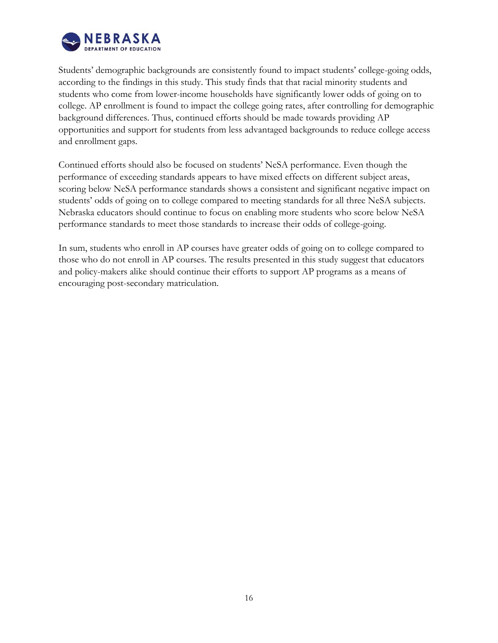

Students' demographic backgrounds are consistently found to impact students' college-going odds, according to the findings in this study. This study finds that that racial minority students and students who come from lower-income households have significantly lower odds of going on to college. AP enrollment is found to impact the college going rates, after controlling for demographic background differences. Thus, continued efforts should be made towards providing AP opportunities and support for students from less advantaged backgrounds to reduce college access and enrollment gaps.

Continued efforts should also be focused on students' NeSA performance. Even though the performance of exceeding standards appears to have mixed effects on different subject areas, scoring below NeSA performance standards shows a consistent and significant negative impact on students' odds of going on to college compared to meeting standards for all three NeSA subjects. Nebraska educators should continue to focus on enabling more students who score below NeSA performance standards to meet those standards to increase their odds of college-going.

In sum, students who enroll in AP courses have greater odds of going on to college compared to those who do not enroll in AP courses. The results presented in this study suggest that educators and policy-makers alike should continue their efforts to support AP programs as a means of encouraging post-secondary matriculation.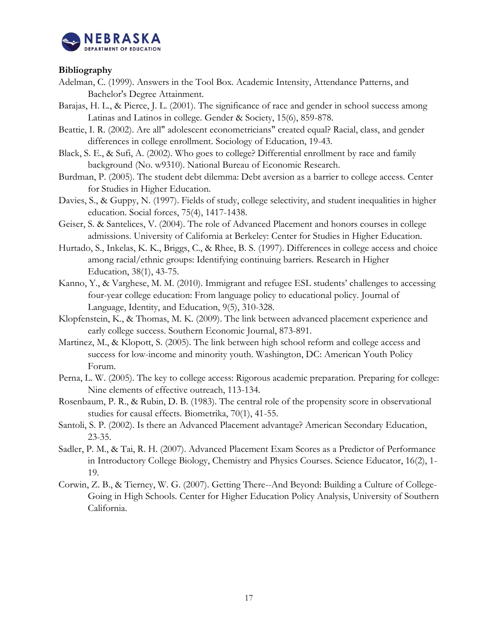

#### <span id="page-17-0"></span>**Bibliography**

- Adelman, C. (1999). Answers in the Tool Box. Academic Intensity, Attendance Patterns, and Bachelor's Degree Attainment.
- Barajas, H. L., & Pierce, J. L. (2001). The significance of race and gender in school success among Latinas and Latinos in college. Gender & Society, 15(6), 859-878.
- Beattie, I. R. (2002). Are all" adolescent econometricians" created equal? Racial, class, and gender differences in college enrollment. Sociology of Education, 19-43.
- Black, S. E., & Sufi, A. (2002). Who goes to college? Differential enrollment by race and family background (No. w9310). National Bureau of Economic Research.
- Burdman, P. (2005). The student debt dilemma: Debt aversion as a barrier to college access. Center for Studies in Higher Education.
- Davies, S., & Guppy, N. (1997). Fields of study, college selectivity, and student inequalities in higher education. Social forces, 75(4), 1417-1438.
- Geiser, S. & Santelices, V. (2004). The role of Advanced Placement and honors courses in college admissions. University of California at Berkeley: Center for Studies in Higher Education.
- Hurtado, S., Inkelas, K. K., Briggs, C., & Rhee, B. S. (1997). Differences in college access and choice among racial/ethnic groups: Identifying continuing barriers. Research in Higher Education, 38(1), 43-75.
- Kanno, Y., & Varghese, M. M. (2010). Immigrant and refugee ESL students' challenges to accessing four-year college education: From language policy to educational policy. Journal of Language, Identity, and Education, 9(5), 310-328.
- Klopfenstein, K., & Thomas, M. K. (2009). The link between advanced placement experience and early college success. Southern Economic Journal, 873-891.
- Martinez, M., & Klopott, S. (2005). The link between high school reform and college access and success for low-income and minority youth. Washington, DC: American Youth Policy Forum.
- Perna, L. W. (2005). The key to college access: Rigorous academic preparation. Preparing for college: Nine elements of effective outreach, 113-134.
- Rosenbaum, P. R., & Rubin, D. B. (1983). The central role of the propensity score in observational studies for causal effects. Biometrika, 70(1), 41-55.
- Santoli, S. P. (2002). Is there an Advanced Placement advantage? American Secondary Education, 23-35.
- Sadler, P. M., & Tai, R. H. (2007). Advanced Placement Exam Scores as a Predictor of Performance in Introductory College Biology, Chemistry and Physics Courses. Science Educator, 16(2), 1- 19.
- Corwin, Z. B., & Tierney, W. G. (2007). Getting There--And Beyond: Building a Culture of College-Going in High Schools. Center for Higher Education Policy Analysis, University of Southern California.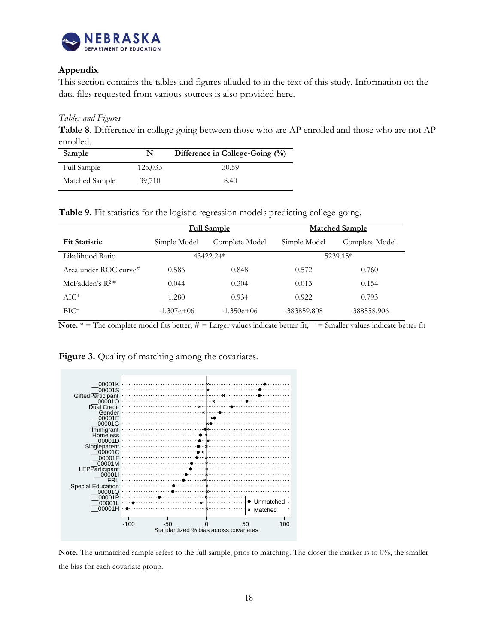

#### <span id="page-18-0"></span>**Appendix**

This section contains the tables and figures alluded to in the text of this study. Information on the data files requested from various sources is also provided here.

#### <span id="page-18-1"></span>*Tables and Figures*

**Table 8.** Difference in college-going between those who are AP enrolled and those who are not AP enrolled.

| Sample         | N       | Difference in College-Going (%) |
|----------------|---------|---------------------------------|
| Full Sample    | 125,033 | 30.59                           |
| Matched Sample | 39,710  | 8.40                            |

**Table 9.** Fit statistics for the logistic regression models predicting college-going.

|                       | <b>Full Sample</b> |                | <b>Matched Sample</b> |                |
|-----------------------|--------------------|----------------|-----------------------|----------------|
| <b>Fit Statistic</b>  | Simple Model       | Complete Model | Simple Model          | Complete Model |
| Likelihood Ratio      | 43422.24*          |                | 5239.15*              |                |
| Area under ROC curve# | 0.586              | 0.848          | 0.572                 | 0.760          |
| McFadden's $R^{2#}$   | 0.044              | 0.304          | 0.013                 | 0.154          |
| $AIC^+$               | 1.280              | 0.934          | 0.922                 | 0.793          |
| $BIC^+$               | $-1.307e+06$       | $-1.350e+06$   | -383859.808           | -388558.906    |

**Note.**  $* =$  The complete model fits better,  $# =$  Larger values indicate better fit,  $+ =$  Smaller values indicate better fit



Figure 3. Quality of matching among the covariates.

**Note.** The unmatched sample refers to the full sample, prior to matching. The closer the marker is to 0%, the smaller the bias for each covariate group.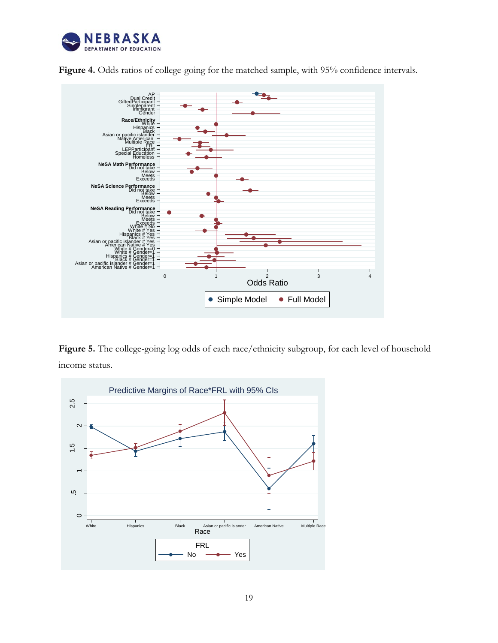



Figure 4. Odds ratios of college-going for the matched sample, with 95% confidence intervals.

**Figure 5.** The college-going log odds of each race/ethnicity subgroup, for each level of household income status.

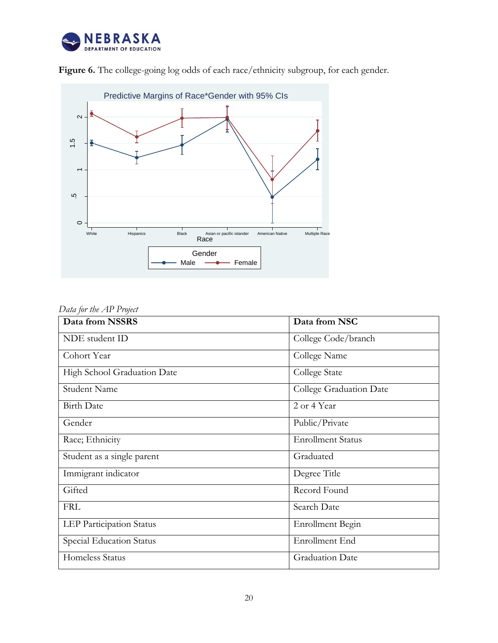



Figure 6. The college-going log odds of each race/ethnicity subgroup, for each gender.

### <span id="page-20-0"></span>*Data for the AP Project*

| Data from NSSRS             | Data from NSC            |  |
|-----------------------------|--------------------------|--|
| NDE student ID              | College Code/branch      |  |
| Cohort Year                 | College Name             |  |
| High School Graduation Date | College State            |  |
| <b>Student Name</b>         | College Graduation Date  |  |
| <b>Birth Date</b>           | 2 or 4 Year              |  |
| Gender                      | Public/Private           |  |
| Race; Ethnicity             | <b>Enrollment Status</b> |  |
| Student as a single parent  | Graduated                |  |
| Immigrant indicator         | Degree Title             |  |
| Gifted                      | Record Found             |  |
| <b>FRL</b>                  | Search Date              |  |
| LEP Participation Status    | Enrollment Begin         |  |
| Special Education Status    | Enrollment End           |  |
| Homeless Status             | <b>Graduation Date</b>   |  |